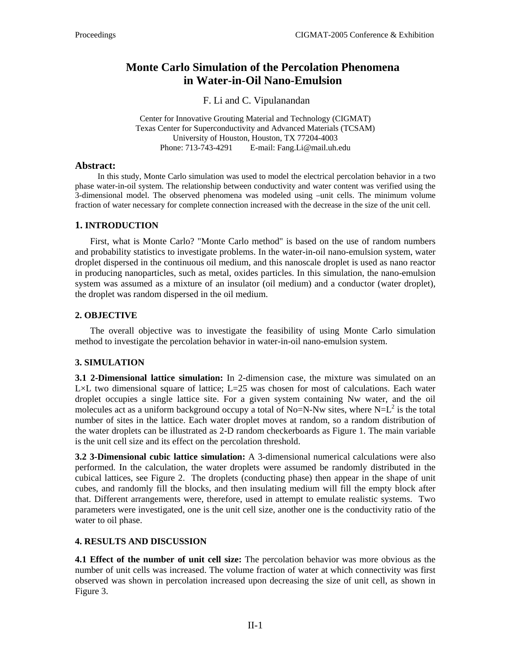# **Monte Carlo Simulation of the Percolation Phenomena in Water-in-Oil Nano-Emulsion**

F. Li and C. Vipulanandan

Center for Innovative Grouting Material and Technology (CIGMAT) Texas Center for Superconductivity and Advanced Materials (TCSAM) University of Houston, Houston, TX 77204-4003 Phone: 713-743-4291 E-mail: Fang.Li@mail.uh.edu

### **Abstract:**

In this study, Monte Carlo simulation was used to model the electrical percolation behavior in a two phase water-in-oil system. The relationship between conductivity and water content was verified using the 3-dimensional model. The observed phenomena was modeled using –unit cells. The minimum volume fraction of water necessary for complete connection increased with the decrease in the size of the unit cell.

# **1. INTRODUCTION**

First, what is Monte Carlo? "Monte Carlo method" is based on the use of random numbers and probability statistics to investigate problems. In the water-in-oil nano-emulsion system, water droplet dispersed in the continuous oil medium, and this nanoscale droplet is used as nano reactor in producing nanoparticles, such as metal, oxides particles. In this simulation, the nano-emulsion system was assumed as a mixture of an insulator (oil medium) and a conductor (water droplet), the droplet was random dispersed in the oil medium.

### **2. OBJECTIVE**

The overall objective was to investigate the feasibility of using Monte Carlo simulation method to investigate the percolation behavior in water-in-oil nano-emulsion system.

# **3. SIMULATION**

**3.1 2-Dimensional lattice simulation:** In 2-dimension case, the mixture was simulated on an L×L two dimensional square of lattice; L=25 was chosen for most of calculations. Each water droplet occupies a single lattice site. For a given system containing Nw water, and the oil molecules act as a uniform background occupy a total of No=N-Nw sites, where  $N=L^2$  is the total number of sites in the lattice. Each water droplet moves at random, so a random distribution of the water droplets can be illustrated as 2-D random checkerboards as Figure 1. The main variable is the unit cell size and its effect on the percolation threshold.

**3.2 3-Dimensional cubic lattice simulation:** A 3-dimensional numerical calculations were also performed. In the calculation, the water droplets were assumed be randomly distributed in the cubical lattices, see Figure 2. The droplets (conducting phase) then appear in the shape of unit cubes, and randomly fill the blocks, and then insulating medium will fill the empty block after that. Different arrangements were, therefore, used in attempt to emulate realistic systems. Two parameters were investigated, one is the unit cell size, another one is the conductivity ratio of the water to oil phase.

# **4. RESULTS AND DISCUSSION**

**4.1 Effect of the number of unit cell size:** The percolation behavior was more obvious as the number of unit cells was increased. The volume fraction of water at which connectivity was first observed was shown in percolation increased upon decreasing the size of unit cell, as shown in Figure 3.